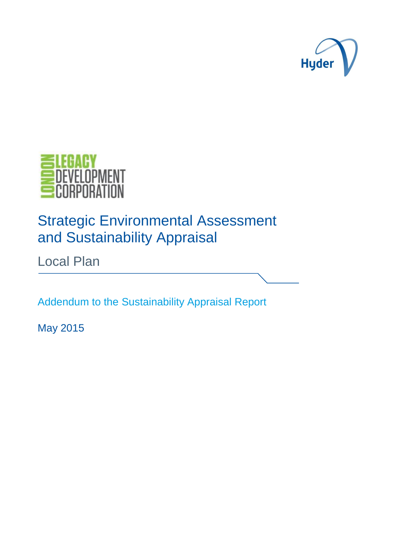



# Strategic Environmental Assessment and Sustainability Appraisal

Local Plan

Addendum to the Sustainability Appraisal Report

May 2015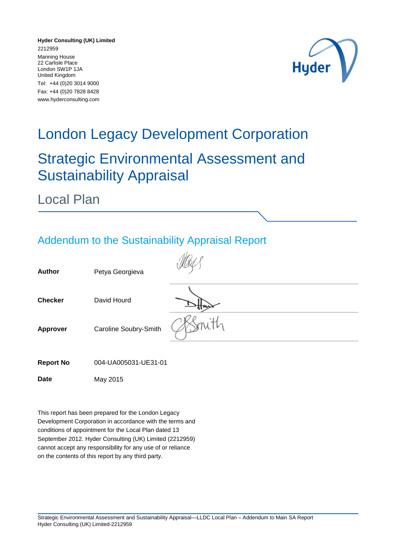**Hyder Consulting (UK) Limited** 2212959 Manning House 22 Carlisle Place London SW1P 1JA United Kingdom Tel: +44 (0)20 3014 9000 Fax: +44 (0)20 7828 8428 www.hyderconsulting.com



# London Legacy Development Corporation

### Strategic Environmental Assessment and Sustainability Appraisal

Local Plan

#### Addendum to the Sustainability Appraisal Report

| <b>Author</b>    | Petya Georgieva       |  |
|------------------|-----------------------|--|
| <b>Checker</b>   | David Hourd           |  |
| <b>Approver</b>  | Caroline Soubry-Smith |  |
| <b>Report No</b> | 004-UA005031-UE31-01  |  |
| <b>Date</b>      | May 2015              |  |

This report has been prepared for the London Legacy Development Corporation in accordance with the terms and conditions of appointment for the Local Plan dated 13 September 2012. Hyder Consulting (UK) Limited (2212959) cannot accept any responsibility for any use of or reliance on the contents of this report by any third party.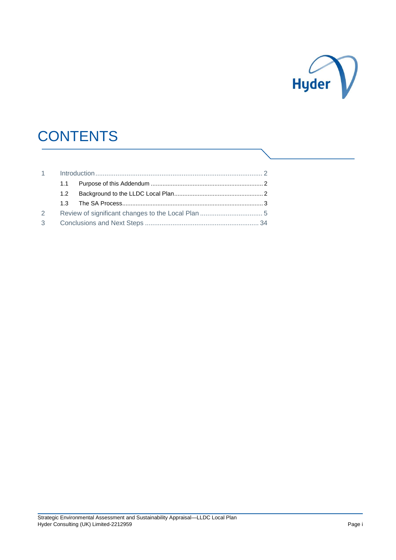

# **CONTENTS**

|                | 1.1              |  |
|----------------|------------------|--|
|                | 1.2 <sub>1</sub> |  |
|                |                  |  |
| $\mathcal{L}$  |                  |  |
| 3 <sup>7</sup> |                  |  |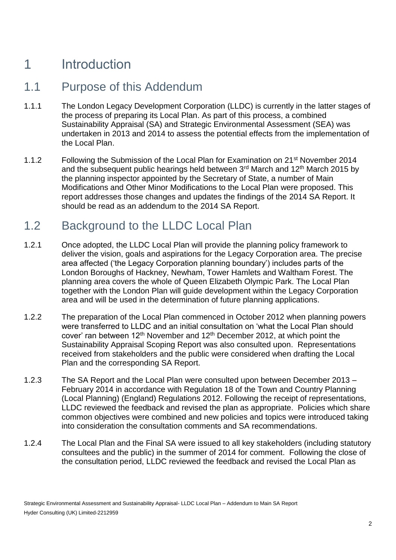### 1 Introduction

#### 1.1 Purpose of this Addendum

- 1.1.1 The London Legacy Development Corporation (LLDC) is currently in the latter stages of the process of preparing its Local Plan. As part of this process, a combined Sustainability Appraisal (SA) and Strategic Environmental Assessment (SEA) was undertaken in 2013 and 2014 to assess the potential effects from the implementation of the Local Plan.
- 1.1.2 Following the Submission of the Local Plan for Examination on 21<sup>st</sup> November 2014 and the subsequent public hearings held between  $3<sup>rd</sup>$  March and 12<sup>th</sup> March 2015 by the planning inspector appointed by the Secretary of State, a number of Main Modifications and Other Minor Modifications to the Local Plan were proposed. This report addresses those changes and updates the findings of the 2014 SA Report. It should be read as an addendum to the 2014 SA Report.

#### 1.2 Background to the LLDC Local Plan

- 1.2.1 Once adopted, the LLDC Local Plan will provide the planning policy framework to deliver the vision, goals and aspirations for the Legacy Corporation area. The precise area affected ('the Legacy Corporation planning boundary') includes parts of the London Boroughs of Hackney, Newham, Tower Hamlets and Waltham Forest. The planning area covers the whole of Queen Elizabeth Olympic Park. The Local Plan together with the London Plan will guide development within the Legacy Corporation area and will be used in the determination of future planning applications.
- 1.2.2 The preparation of the Local Plan commenced in October 2012 when planning powers were transferred to LLDC and an initial consultation on 'what the Local Plan should cover' ran between  $12<sup>th</sup>$  November and  $12<sup>th</sup>$  December 2012, at which point the Sustainability Appraisal Scoping Report was also consulted upon. Representations received from stakeholders and the public were considered when drafting the Local Plan and the corresponding SA Report.
- 1.2.3 The SA Report and the Local Plan were consulted upon between December 2013 February 2014 in accordance with Regulation 18 of the Town and Country Planning (Local Planning) (England) Regulations 2012. Following the receipt of representations, LLDC reviewed the feedback and revised the plan as appropriate. Policies which share common objectives were combined and new policies and topics were introduced taking into consideration the consultation comments and SA recommendations.
- 1.2.4 The Local Plan and the Final SA were issued to all key stakeholders (including statutory consultees and the public) in the summer of 2014 for comment. Following the close of the consultation period, LLDC reviewed the feedback and revised the Local Plan as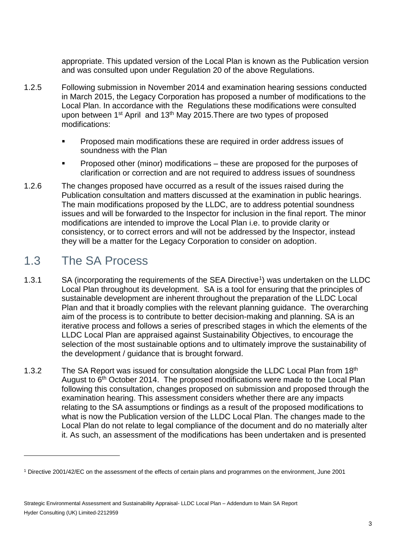appropriate. This updated version of the Local Plan is known as the Publication version and was consulted upon under Regulation 20 of the above Regulations.

- 1.2.5 Following submission in November 2014 and examination hearing sessions conducted in March 2015, the Legacy Corporation has proposed a number of modifications to the Local Plan. In accordance with the Regulations these modifications were consulted upon between 1<sup>st</sup> April and 13<sup>th</sup> May 2015. There are two types of proposed modifications:
	- **Proposed main modifications these are required in order address issues of** soundness with the Plan
	- **Proposed other (minor) modifications these are proposed for the purposes of** clarification or correction and are not required to address issues of soundness
- 1.2.6 The changes proposed have occurred as a result of the issues raised during the Publication consultation and matters discussed at the examination in public hearings. The main modifications proposed by the LLDC, are to address potential soundness issues and will be forwarded to the Inspector for inclusion in the final report. The minor modifications are intended to improve the Local Plan i.e. to provide clarity or consistency, or to correct errors and will not be addressed by the Inspector, instead they will be a matter for the Legacy Corporation to consider on adoption.

#### 1.3 The SA Process

1

- 1.3.1 SA (incorporating the requirements of the SEA Directive<sup>1</sup>) was undertaken on the LLDC Local Plan throughout its development. SA is a tool for ensuring that the principles of sustainable development are inherent throughout the preparation of the LLDC Local Plan and that it broadly complies with the relevant planning guidance. The overarching aim of the process is to contribute to better decision-making and planning. SA is an iterative process and follows a series of prescribed stages in which the elements of the LLDC Local Plan are appraised against Sustainability Objectives, to encourage the selection of the most sustainable options and to ultimately improve the sustainability of the development / guidance that is brought forward.
- 1.3.2 The SA Report was issued for consultation alongside the LLDC Local Plan from 18<sup>th</sup> August to 6<sup>th</sup> October 2014. The proposed modifications were made to the Local Plan following this consultation, changes proposed on submission and proposed through the examination hearing. This assessment considers whether there are any impacts relating to the SA assumptions or findings as a result of the proposed modifications to what is now the Publication version of the LLDC Local Plan. The changes made to the Local Plan do not relate to legal compliance of the document and do no materially alter it. As such, an assessment of the modifications has been undertaken and is presented

<sup>1</sup> Directive 2001/42/EC on the assessment of the effects of certain plans and programmes on the environment, June 2001

Strategic Environmental Assessment and Sustainability Appraisal- LLDC Local Plan – Addendum to Main SA Report Hyder Consulting (UK) Limited-2212959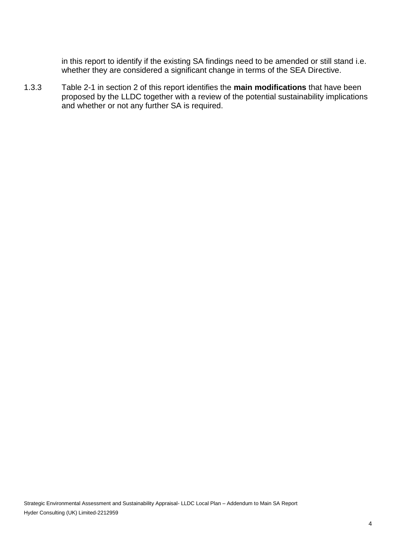in this report to identify if the existing SA findings need to be amended or still stand i.e. whether they are considered a significant change in terms of the SEA Directive.

1.3.3 Table 2-1 in section 2 of this report identifies the **main modifications** that have been proposed by the LLDC together with a review of the potential sustainability implications and whether or not any further SA is required.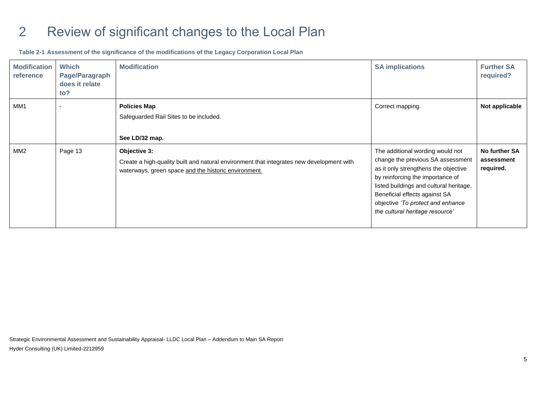### 2 Review of significant changes to the Local Plan

**Table 2-1 Assessment of the significance of the modifications of the Legacy Corporation Local Plan**

| <b>Modification</b><br>reference | <b>Which</b><br>Page/Paragraph<br>does it relate<br>to? | <b>Modification</b>                                                                                                                                              | <b>SA implications</b>                                                                                                                                                                                                                                                                                | <b>Further SA</b><br>required?           |
|----------------------------------|---------------------------------------------------------|------------------------------------------------------------------------------------------------------------------------------------------------------------------|-------------------------------------------------------------------------------------------------------------------------------------------------------------------------------------------------------------------------------------------------------------------------------------------------------|------------------------------------------|
| MM <sub>1</sub>                  | $\blacksquare$                                          | <b>Policies Map</b><br>Safeguarded Rail Sites to be included.<br>See LD/32 map.                                                                                  | Correct mapping.                                                                                                                                                                                                                                                                                      | Not applicable                           |
| MM <sub>2</sub>                  | Page 13                                                 | Objective 3:<br>Create a high-quality built and natural environment that integrates new development with<br>waterways, green space and the historic environment. | The additional wording would not<br>change the previous SA assessment<br>as it only strengthens the objective<br>by reinforcing the importance of<br>listed buildings and cultural heritage.<br>Beneficial effects against SA<br>objective 'To protect and enhance<br>the cultural heritage resource' | No further SA<br>assessment<br>required. |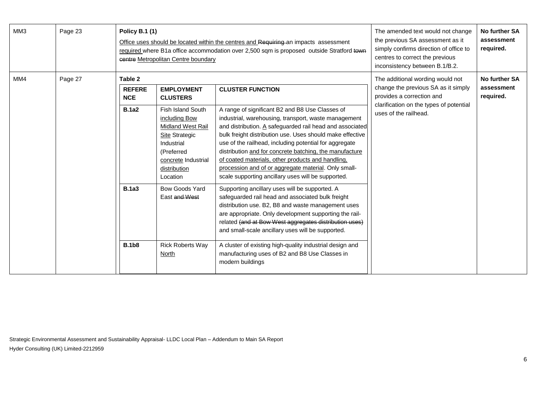| MM3 | Page 23 | <b>Policy B.1 (1)</b>                  | centre Metropolitan Centre boundary                                                                                                                                    | Office uses should be located within the centres and Requiring an impacts assessment<br>required where B1a office accommodation over 2,500 sqm is proposed outside Stratford town                                                                                                                                                                                                                                                                                                                                        | The amended text would not change<br>the previous SA assessment as it<br>simply confirms direction of office to<br>centres to correct the previous<br>inconsistency between B.1/B.2. | No further SA<br>assessment<br>required. |
|-----|---------|----------------------------------------|------------------------------------------------------------------------------------------------------------------------------------------------------------------------|--------------------------------------------------------------------------------------------------------------------------------------------------------------------------------------------------------------------------------------------------------------------------------------------------------------------------------------------------------------------------------------------------------------------------------------------------------------------------------------------------------------------------|--------------------------------------------------------------------------------------------------------------------------------------------------------------------------------------|------------------------------------------|
| MM4 | Page 27 | Table 2<br><b>REFERE</b><br><b>NCE</b> | <b>EMPLOYMENT</b><br><b>CLUSTERS</b>                                                                                                                                   | <b>CLUSTER FUNCTION</b>                                                                                                                                                                                                                                                                                                                                                                                                                                                                                                  | The additional wording would not<br>change the previous SA as it simply<br>provides a correction and                                                                                 | No further SA<br>assessment<br>required. |
|     |         | <b>B.1a2</b>                           | Fish Island South<br>including Bow<br><b>Midland West Rail</b><br><b>Site Strategic</b><br>Industrial<br>(Preferred<br>concrete Industrial<br>distribution<br>Location | A range of significant B2 and B8 Use Classes of<br>industrial, warehousing, transport, waste management<br>and distribution. A safeguarded rail head and associated<br>bulk freight distribution use. Uses should make effective<br>use of the railhead, including potential for aggregate<br>distribution and for concrete batching, the manufacture<br>of coated materials, other products and handling,<br>procession and of or aggregate material. Only small-<br>scale supporting ancillary uses will be supported. | clarification on the types of potential<br>uses of the railhead.                                                                                                                     |                                          |
|     |         | <b>B.1a3</b>                           | Bow Goods Yard<br>East and West                                                                                                                                        | Supporting ancillary uses will be supported. A<br>safeguarded rail head and associated bulk freight<br>distribution use. B2, B8 and waste management uses<br>are appropriate. Only development supporting the rail-<br>related (and at Bow West aggregates distribution uses)<br>and small-scale ancillary uses will be supported.                                                                                                                                                                                       |                                                                                                                                                                                      |                                          |
|     |         | <b>B.1b8</b>                           | <b>Rick Roberts Way</b><br>North                                                                                                                                       | A cluster of existing high-quality industrial design and<br>manufacturing uses of B2 and B8 Use Classes in<br>modern buildings                                                                                                                                                                                                                                                                                                                                                                                           |                                                                                                                                                                                      |                                          |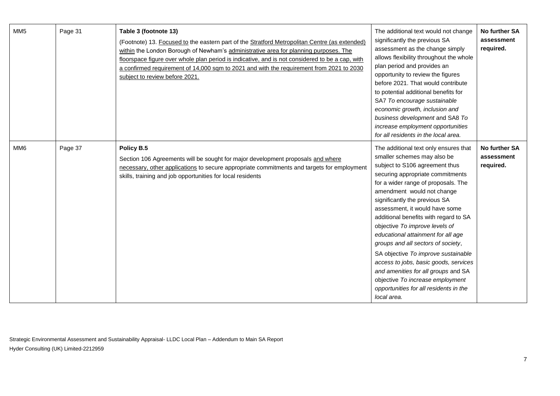| MM <sub>5</sub> | Page 31 | Table 3 (footnote 13)<br>(Footnote) 13. Focused to the eastern part of the Stratford Metropolitan Centre (as extended)<br>within the London Borough of Newham's administrative area for planning purposes. The<br>floorspace figure over whole plan period is indicative, and is not considered to be a cap, with<br>a confirmed requirement of 14,000 sqm to 2021 and with the requirement from 2021 to 2030<br>subject to review before 2021. | The additional text would not change<br>significantly the previous SA<br>assessment as the change simply<br>allows flexibility throughout the whole<br>plan period and provides an<br>opportunity to review the figures<br>before 2021. That would contribute<br>to potential additional benefits for<br>SA7 To encourage sustainable<br>economic growth, inclusion and<br>business development and SA8 To<br>increase employment opportunities<br>for all residents in the local area.                                                                                                                                                                       | No further SA<br>assessment<br>required. |
|-----------------|---------|-------------------------------------------------------------------------------------------------------------------------------------------------------------------------------------------------------------------------------------------------------------------------------------------------------------------------------------------------------------------------------------------------------------------------------------------------|---------------------------------------------------------------------------------------------------------------------------------------------------------------------------------------------------------------------------------------------------------------------------------------------------------------------------------------------------------------------------------------------------------------------------------------------------------------------------------------------------------------------------------------------------------------------------------------------------------------------------------------------------------------|------------------------------------------|
| MM <sub>6</sub> | Page 37 | Policy B.5<br>Section 106 Agreements will be sought for major development proposals and where<br>necessary, other applications to secure appropriate commitments and targets for employment<br>skills, training and job opportunities for local residents                                                                                                                                                                                       | The additional text only ensures that<br>smaller schemes may also be<br>subject to S106 agreement thus<br>securing appropriate commitments<br>for a wider range of proposals. The<br>amendment would not change<br>significantly the previous SA<br>assessment, it would have some<br>additional benefits with regard to SA<br>objective To improve levels of<br>educational attainment for all age<br>groups and all sectors of society,<br>SA objective To improve sustainable<br>access to jobs, basic goods, services<br>and amenities for all groups and SA<br>objective To increase employment<br>opportunities for all residents in the<br>local area. | No further SA<br>assessment<br>required. |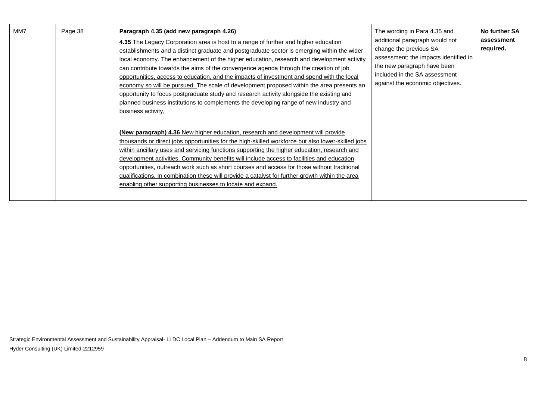| MM7 | Page 38 | Paragraph 4.35 (add new paragraph 4.26)<br>4.35 The Legacy Corporation area is host to a range of further and higher education<br>establishments and a distinct graduate and postgraduate sector is emerging within the wider<br>local economy. The enhancement of the higher education, research and development activity<br>can contribute towards the aims of the convergence agenda through the creation of job<br>opportunities, access to education, and the impacts of investment and spend with the local<br>economy so will be pursued. The scale of development proposed within the area presents an<br>opportunity to focus postgraduate study and research activity alongside the existing and<br>planned business institutions to complements the developing range of new industry and<br>business activity, | The wording in Para 4.35 and<br>additional paragraph would not<br>change the previous SA<br>assessment; the impacts identified in<br>the new paragraph have been<br>included in the SA assessment<br>against the economic objectives. | No further SA<br>assessment<br>required. |
|-----|---------|---------------------------------------------------------------------------------------------------------------------------------------------------------------------------------------------------------------------------------------------------------------------------------------------------------------------------------------------------------------------------------------------------------------------------------------------------------------------------------------------------------------------------------------------------------------------------------------------------------------------------------------------------------------------------------------------------------------------------------------------------------------------------------------------------------------------------|---------------------------------------------------------------------------------------------------------------------------------------------------------------------------------------------------------------------------------------|------------------------------------------|
|     |         | <b>(New paragraph) 4.36</b> New higher education, research and development will provide<br>thousands or direct jobs opportunities for the high-skilled workforce but also lower-skilled jobs<br>within ancillary uses and servicing functions supporting the higher education, research and<br>development activities. Community benefits will include access to facilities and education<br>opportunities, outreach work such as short courses and access for those without traditional<br>gualifications. In combination these will provide a catalyst for further growth within the area<br>enabling other supporting businesses to locate and expand.                                                                                                                                                                 |                                                                                                                                                                                                                                       |                                          |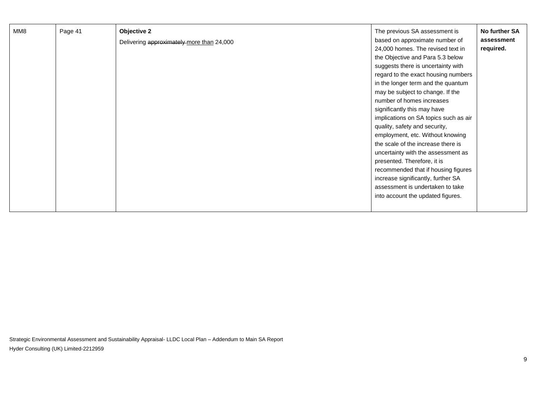| Page 41<br>MM8 |  | Objective 2<br>Delivering approximately more than 24,000 | The previous SA assessment is<br>based on approximate number of<br>24,000 homes. The revised text in<br>the Objective and Para 5.3 below<br>suggests there is uncertainty with<br>regard to the exact housing numbers<br>in the longer term and the quantum<br>may be subject to change. If the<br>number of homes increases<br>significantly this may have<br>implications on SA topics such as air<br>quality, safety and security,<br>employment, etc. Without knowing<br>the scale of the increase there is<br>uncertainty with the assessment as<br>presented. Therefore, it is<br>recommended that if housing figures<br>increase significantly, further SA<br>assessment is undertaken to take<br>into account the updated figures. | No further SA<br>assessment<br>required. |
|----------------|--|----------------------------------------------------------|--------------------------------------------------------------------------------------------------------------------------------------------------------------------------------------------------------------------------------------------------------------------------------------------------------------------------------------------------------------------------------------------------------------------------------------------------------------------------------------------------------------------------------------------------------------------------------------------------------------------------------------------------------------------------------------------------------------------------------------------|------------------------------------------|
|----------------|--|----------------------------------------------------------|--------------------------------------------------------------------------------------------------------------------------------------------------------------------------------------------------------------------------------------------------------------------------------------------------------------------------------------------------------------------------------------------------------------------------------------------------------------------------------------------------------------------------------------------------------------------------------------------------------------------------------------------------------------------------------------------------------------------------------------------|------------------------------------------|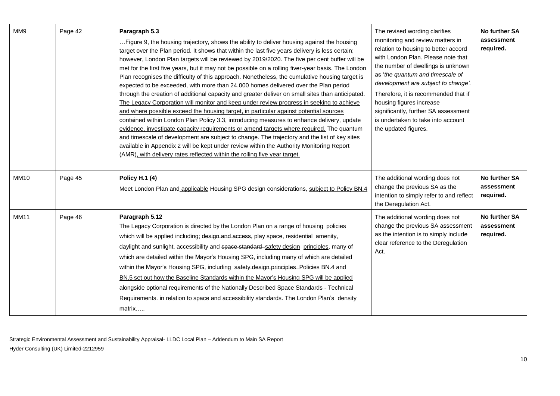| MM9         | Page 42 | Paragraph 5.3<br>Figure 9, the housing trajectory, shows the ability to deliver housing against the housing<br>target over the Plan period. It shows that within the last five years delivery is less certain;<br>however, London Plan targets will be reviewed by 2019/2020. The five per cent buffer will be<br>met for the first five years, but it may not be possible on a rolling fiver-year basis. The London<br>Plan recognises the difficulty of this approach. Nonetheless, the cumulative housing target is<br>expected to be exceeded, with more than 24,000 homes delivered over the Plan period<br>through the creation of additional capacity and greater deliver on small sites than anticipated.<br>The Legacy Corporation will monitor and keep under review progress in seeking to achieve<br>and where possible exceed the housing target, in particular against potential sources<br>contained within London Plan Policy 3.3, introducing measures to enhance delivery, update<br>evidence, investigate capacity requirements or amend targets where required. The quantum<br>and timescale of development are subject to change. The trajectory and the list of key sites<br>available in Appendix 2 will be kept under review within the Authority Monitoring Report<br>(AMR), with delivery rates reflected within the rolling five year target. | The revised wording clarifies<br>monitoring and review matters in<br>relation to housing to better accord<br>with London Plan. Please note that<br>the number of dwellings is unknown<br>as 'the quantum and timescale of<br>development are subject to change'.<br>Therefore, it is recommended that if<br>housing figures increase<br>significantly, further SA assessment<br>is undertaken to take into account<br>the updated figures. | No further SA<br>assessment<br>required. |
|-------------|---------|--------------------------------------------------------------------------------------------------------------------------------------------------------------------------------------------------------------------------------------------------------------------------------------------------------------------------------------------------------------------------------------------------------------------------------------------------------------------------------------------------------------------------------------------------------------------------------------------------------------------------------------------------------------------------------------------------------------------------------------------------------------------------------------------------------------------------------------------------------------------------------------------------------------------------------------------------------------------------------------------------------------------------------------------------------------------------------------------------------------------------------------------------------------------------------------------------------------------------------------------------------------------------------------------------------------------------------------------------------------------------|--------------------------------------------------------------------------------------------------------------------------------------------------------------------------------------------------------------------------------------------------------------------------------------------------------------------------------------------------------------------------------------------------------------------------------------------|------------------------------------------|
| <b>MM10</b> | Page 45 | <b>Policy H.1 (4)</b><br>Meet London Plan and applicable Housing SPG design considerations, subject to Policy BN.4                                                                                                                                                                                                                                                                                                                                                                                                                                                                                                                                                                                                                                                                                                                                                                                                                                                                                                                                                                                                                                                                                                                                                                                                                                                       | The additional wording does not<br>change the previous SA as the<br>intention to simply refer to and reflect<br>the Deregulation Act.                                                                                                                                                                                                                                                                                                      | No further SA<br>assessment<br>required. |
| <b>MM11</b> | Page 46 | Paragraph 5.12<br>The Legacy Corporation is directed by the London Plan on a range of housing policies<br>which will be applied including; design and access, play space, residential amenity,<br>daylight and sunlight, accessibility and space standard safety design principles, many of<br>which are detailed within the Mayor's Housing SPG, including many of which are detailed<br>within the Mayor's Housing SPG, including safety design principles-Policies BN.4 and<br>BN.5 set out how the Baseline Standards within the Mayor's Housing SPG will be applied<br>alongside optional requirements of the Nationally Described Space Standards - Technical<br>Requirements. in relation to space and accessibility standards. The London Plan's density<br>matrix                                                                                                                                                                                                                                                                                                                                                                                                                                                                                                                                                                                               | The additional wording does not<br>change the previous SA assessment<br>as the intention is to simply include<br>clear reference to the Deregulation<br>Act.                                                                                                                                                                                                                                                                               | No further SA<br>assessment<br>required. |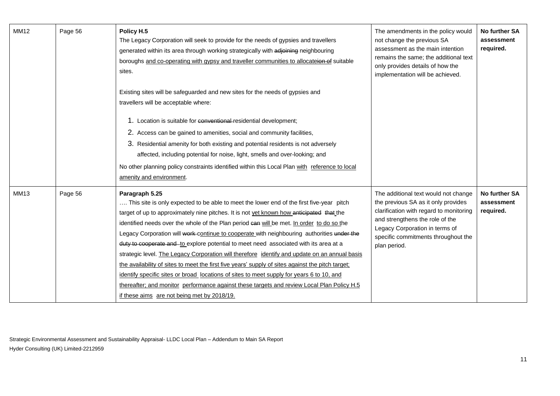| <b>MM12</b> | Page 56 | Policy H.5<br>The Legacy Corporation will seek to provide for the needs of gypsies and travellers<br>generated within its area through working strategically with adjoining neighbouring<br>boroughs and co-operating with gypsy and traveller communities to allocateion of suitable<br>sites.                                                                                                                                                                                                                                                                                                                                                                                                                                                                                                                                                                                                                                            | The amendments in the policy would<br>not change the previous SA<br>assessment as the main intention<br>remains the same; the additional text<br>only provides details of how the<br>implementation will be achieved.                              | <b>No further SA</b><br>assessment<br>required. |
|-------------|---------|--------------------------------------------------------------------------------------------------------------------------------------------------------------------------------------------------------------------------------------------------------------------------------------------------------------------------------------------------------------------------------------------------------------------------------------------------------------------------------------------------------------------------------------------------------------------------------------------------------------------------------------------------------------------------------------------------------------------------------------------------------------------------------------------------------------------------------------------------------------------------------------------------------------------------------------------|----------------------------------------------------------------------------------------------------------------------------------------------------------------------------------------------------------------------------------------------------|-------------------------------------------------|
|             |         | Existing sites will be safeguarded and new sites for the needs of gypsies and<br>travellers will be acceptable where:<br>1. Location is suitable for conventional residential development;<br>2. Access can be gained to amenities, social and community facilities,<br>3. Residential amenity for both existing and potential residents is not adversely<br>affected, including potential for noise, light, smells and over-looking; and<br>No other planning policy constraints identified within this Local Plan with reference to local<br>amenity and environment.                                                                                                                                                                                                                                                                                                                                                                    |                                                                                                                                                                                                                                                    |                                                 |
| <b>MM13</b> | Page 56 | Paragraph 5.25<br>This site is only expected to be able to meet the lower end of the first five-year pitch<br>target of up to approximately nine pitches. It is not yet known how anticipated that the<br>identified needs over the whole of the Plan period can will be met. In order to do so the<br>Legacy Corporation will work-continue to cooperate with neighbouring authorities under the<br>duty to cooperate and to explore potential to meet need associated with its area at a<br>strategic level. The Legacy Corporation will therefore identify and update on an annual basis<br>the availability of sites to meet the first five years' supply of sites against the pitch target;<br>identify specific sites or broad locations of sites to meet supply for years 6 to 10, and<br>thereafter; and monitor performance against these targets and review Local Plan Policy H.5<br>if these aims are not being met by 2018/19. | The additional text would not change<br>the previous SA as it only provides<br>clarification with regard to monitoring<br>and strengthens the role of the<br>Legacy Corporation in terms of<br>specific commitments throughout the<br>plan period. | No further SA<br>assessment<br>required.        |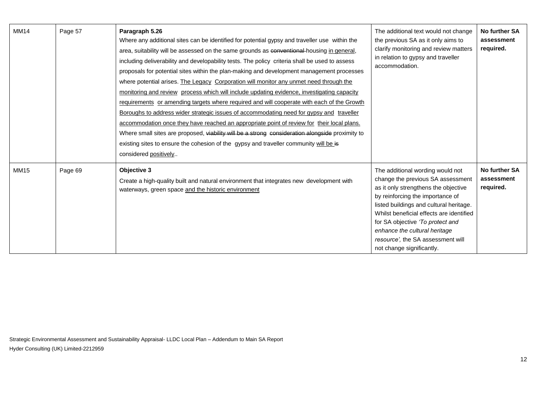| <b>MM14</b> | Page 57 | Paragraph 5.26<br>Where any additional sites can be identified for potential gypsy and traveller use within the<br>area, suitability will be assessed on the same grounds as conventional housing in general,<br>including deliverability and developability tests. The policy criteria shall be used to assess<br>proposals for potential sites within the plan-making and development management processes<br>where potential arises. The Legacy Corporation will monitor any unmet need through the<br>monitoring and review process which will include updating evidence, investigating capacity<br>requirements or amending targets where required and will cooperate with each of the Growth<br>Boroughs to address wider strategic issues of accommodating need for gypsy and traveller<br>accommodation once they have reached an appropriate point of review for their local plans.<br>Where small sites are proposed, viability will be a strong consideration alongside proximity to<br>existing sites to ensure the cohesion of the gypsy and traveller community will be is<br>considered positively | The additional text would not change<br>the previous SA as it only aims to<br>clarify monitoring and review matters<br>in relation to gypsy and traveller<br>accommodation.                                                                                                                                                                                                     | No further SA<br>assessment<br>required. |
|-------------|---------|-------------------------------------------------------------------------------------------------------------------------------------------------------------------------------------------------------------------------------------------------------------------------------------------------------------------------------------------------------------------------------------------------------------------------------------------------------------------------------------------------------------------------------------------------------------------------------------------------------------------------------------------------------------------------------------------------------------------------------------------------------------------------------------------------------------------------------------------------------------------------------------------------------------------------------------------------------------------------------------------------------------------------------------------------------------------------------------------------------------------|---------------------------------------------------------------------------------------------------------------------------------------------------------------------------------------------------------------------------------------------------------------------------------------------------------------------------------------------------------------------------------|------------------------------------------|
| <b>MM15</b> | Page 69 | Objective 3<br>Create a high-quality built and natural environment that integrates new development with<br>waterways, green space and the historic environment                                                                                                                                                                                                                                                                                                                                                                                                                                                                                                                                                                                                                                                                                                                                                                                                                                                                                                                                                    | The additional wording would not<br>change the previous SA assessment<br>as it only strengthens the objective<br>by reinforcing the importance of<br>listed buildings and cultural heritage.<br>Whilst beneficial effects are identified<br>for SA objective 'To protect and<br>enhance the cultural heritage<br>resource', the SA assessment will<br>not change significantly. | No further SA<br>assessment<br>required. |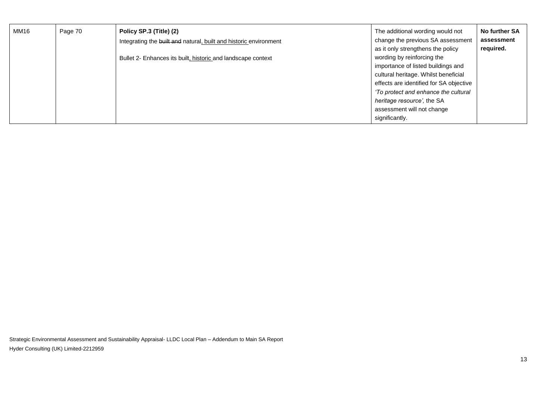| MM16 | Page 70 | Policy SP.3 (Title) (2)                                           | The additional wording would not        | No further SA |
|------|---------|-------------------------------------------------------------------|-----------------------------------------|---------------|
|      |         | Integrating the built and natural, built and historic environment | change the previous SA assessment       | assessment    |
|      |         |                                                                   | as it only strengthens the policy       | required.     |
|      |         | Bullet 2- Enhances its built, historic and landscape context      | wording by reinforcing the              |               |
|      |         |                                                                   | importance of listed buildings and      |               |
|      |         |                                                                   | cultural heritage. Whilst beneficial    |               |
|      |         |                                                                   | effects are identified for SA objective |               |
|      |         |                                                                   | 'To protect and enhance the cultural    |               |
|      |         |                                                                   | heritage resource', the SA              |               |
|      |         |                                                                   | assessment will not change              |               |
|      |         |                                                                   | significantly.                          |               |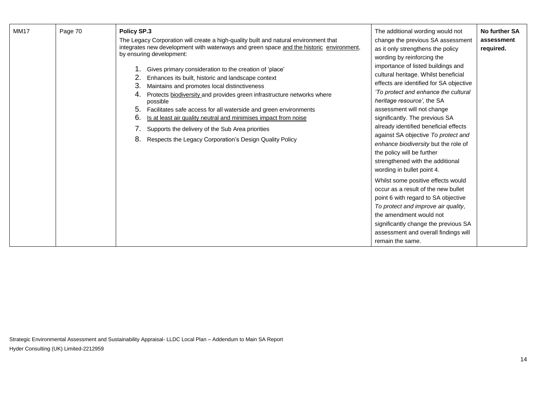| <b>MM17</b> | Page 70 | Policy SP.3<br>The Legacy Corporation will create a high-quality built and natural environment that<br>integrates new development with waterways and green space and the historic environment,<br>by ensuring development:<br>Gives primary consideration to the creation of 'place'<br>Enhances its built, historic and landscape context<br>3.<br>Maintains and promotes local distinctiveness<br>Protects biodiversity and provides green infrastructure networks where<br>4.<br>possible<br>Facilitates safe access for all waterside and green environments<br>5.<br>6.<br>Is at least air quality neutral and minimises impact from noise<br>Supports the delivery of the Sub Area priorities<br>8.<br>Respects the Legacy Corporation's Design Quality Policy | The additional wording would not<br>change the previous SA assessment<br>as it only strengthens the policy<br>wording by reinforcing the<br>importance of listed buildings and<br>cultural heritage. Whilst beneficial<br>effects are identified for SA objective<br>'To protect and enhance the cultural<br>heritage resource', the SA<br>assessment will not change<br>significantly. The previous SA<br>already identified beneficial effects<br>against SA objective To protect and<br>enhance biodiversity but the role of<br>the policy will be further<br>strengthened with the additional<br>wording in bullet point 4.<br>Whilst some positive effects would<br>occur as a result of the new bullet<br>point 6 with regard to SA objective<br>To protect and improve air quality,<br>the amendment would not | No further SA<br>assessment<br>required. |
|-------------|---------|----------------------------------------------------------------------------------------------------------------------------------------------------------------------------------------------------------------------------------------------------------------------------------------------------------------------------------------------------------------------------------------------------------------------------------------------------------------------------------------------------------------------------------------------------------------------------------------------------------------------------------------------------------------------------------------------------------------------------------------------------------------------|-----------------------------------------------------------------------------------------------------------------------------------------------------------------------------------------------------------------------------------------------------------------------------------------------------------------------------------------------------------------------------------------------------------------------------------------------------------------------------------------------------------------------------------------------------------------------------------------------------------------------------------------------------------------------------------------------------------------------------------------------------------------------------------------------------------------------|------------------------------------------|
|             |         |                                                                                                                                                                                                                                                                                                                                                                                                                                                                                                                                                                                                                                                                                                                                                                      | significantly change the previous SA<br>assessment and overall findings will<br>remain the same.                                                                                                                                                                                                                                                                                                                                                                                                                                                                                                                                                                                                                                                                                                                      |                                          |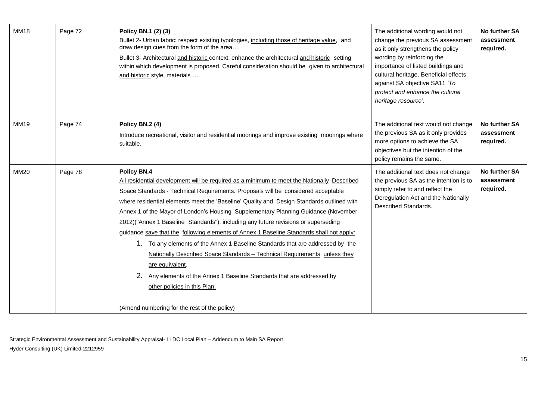| <b>MM18</b> | Page 72 | Policy BN.1 (2) (3)<br>Bullet 2- Urban fabric: respect existing typologies, including those of heritage value, and<br>draw design cues from the form of the area<br>Bullet 3- Architectural and historic context: enhance the architectural and historic setting<br>within which development is proposed. Careful consideration should be given to architectural<br>and historic style, materials                                                                                                                                                                                                                                                                                                                                                                                                                                                                                                                   | The additional wording would not<br>change the previous SA assessment<br>as it only strengthens the policy<br>wording by reinforcing the<br>importance of listed buildings and<br>cultural heritage. Beneficial effects<br>against SA objective SA11 'To<br>protect and enhance the cultural<br>heritage resource'. | No further SA<br>assessment<br>required. |
|-------------|---------|---------------------------------------------------------------------------------------------------------------------------------------------------------------------------------------------------------------------------------------------------------------------------------------------------------------------------------------------------------------------------------------------------------------------------------------------------------------------------------------------------------------------------------------------------------------------------------------------------------------------------------------------------------------------------------------------------------------------------------------------------------------------------------------------------------------------------------------------------------------------------------------------------------------------|---------------------------------------------------------------------------------------------------------------------------------------------------------------------------------------------------------------------------------------------------------------------------------------------------------------------|------------------------------------------|
| MM19        | Page 74 | Policy BN.2 (4)<br>Introduce recreational, visitor and residential moorings and improve existing moorings where<br>suitable.                                                                                                                                                                                                                                                                                                                                                                                                                                                                                                                                                                                                                                                                                                                                                                                        | The additional text would not change<br>the previous SA as it only provides<br>more options to achieve the SA<br>objectives but the intention of the<br>policy remains the same.                                                                                                                                    | No further SA<br>assessment<br>required. |
| <b>MM20</b> | Page 78 | Policy BN.4<br>All residential development will be required as a minimum to meet the Nationally Described<br>Space Standards - Technical Requirements. Proposals will be considered acceptable<br>where residential elements meet the 'Baseline' Quality and Design Standards outlined with<br>Annex 1 of the Mayor of London's Housing Supplementary Planning Guidance (November<br>2012)("Annex 1 Baseline Standards"), including any future revisions or superseding<br>guidance save that the following elements of Annex 1 Baseline Standards shall not apply:<br>1. To any elements of the Annex 1 Baseline Standards that are addressed by the<br>Nationally Described Space Standards - Technical Requirements unless they<br>are equivalent.<br>2.<br>Any elements of the Annex 1 Baseline Standards that are addressed by<br>other policies in this Plan.<br>(Amend numbering for the rest of the policy) | The additional text does not change<br>the previous SA as the intention is to<br>simply refer to and reflect the<br>Deregulation Act and the Nationally<br>Described Standards.                                                                                                                                     | No further SA<br>assessment<br>required. |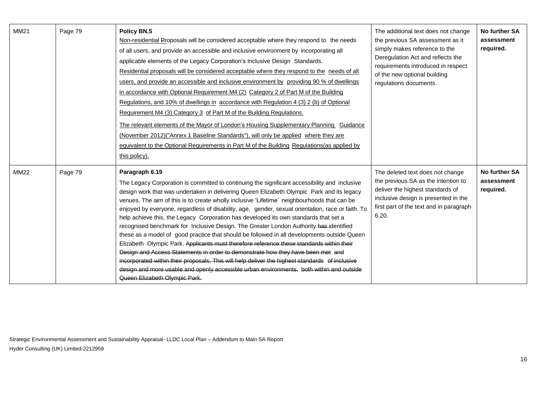| MM21        | Page 79 | Policy BN.5<br>Non-residential Proposals will be considered acceptable where they respond to the needs<br>of all users, and provide an accessible and inclusive environment by incorporating all<br>applicable elements of the Legacy Corporation's Inclusive Design Standards.<br>Residential proposals will be considered acceptable where they respond to the needs of all<br>users, and provide an accessible and inclusive environment by providing 90 % of dwellings<br>in accordance with Optional Requirement M4 (2) Category 2 of Part M of the Building<br>Regulations, and 10% of dwellings in accordance with Regulation 4 (3) 2 (b) of Optional<br>Requirement M4 (3) Category 3 of Part M of the Building Regulations.<br>The relevant elements of the Mayor of London's Housing Supplementary Planning Guidance<br>(November 2012)("Annex 1 Baseline Standards"), will only be applied where they are<br>equivalent to the Optional Requirements in Part M of the Building Regulations (as applied by<br>this policy).                                                                           | The additional text does not change<br>the previous SA assessment as it<br>simply makes reference to the<br>Deregulation Act and reflects the<br>requirements introduced in respect<br>of the new optional building<br>regulations documents. | No further SA<br>assessment<br>required. |
|-------------|---------|-----------------------------------------------------------------------------------------------------------------------------------------------------------------------------------------------------------------------------------------------------------------------------------------------------------------------------------------------------------------------------------------------------------------------------------------------------------------------------------------------------------------------------------------------------------------------------------------------------------------------------------------------------------------------------------------------------------------------------------------------------------------------------------------------------------------------------------------------------------------------------------------------------------------------------------------------------------------------------------------------------------------------------------------------------------------------------------------------------------------|-----------------------------------------------------------------------------------------------------------------------------------------------------------------------------------------------------------------------------------------------|------------------------------------------|
| <b>MM22</b> | Page 79 | Paragraph 6.19<br>The Legacy Corporation is committed to continuing the significant accessibility and inclusive<br>design work that was undertaken in delivering Queen Elizabeth Olympic Park and its legacy<br>venues. The aim of this is to create wholly inclusive 'Lifetime' neighbourhoods that can be<br>enjoyed by everyone, regardless of disability, age, gender, sexual orientation, race or faith. To<br>help achieve this, the Legacy Corporation has developed its own standards that set a<br>recognised benchmark for Inclusive Design. The Greater London Authority has identified<br>these as a model of good practice that should be followed in all developments outside Queen<br>Elizabeth Olympic Park. Applicants must therefore reference these standards within their<br>Design and Access Statements in order to demonstrate how they have been met and<br>incorporated within their proposals. This will help deliver the highest standards of inclusive<br>design and more usable and openly accessible urban environments, both within and outside<br>Queen Elizabeth Olympic Park. | The deleted text does not change<br>the previous SA as the intention to<br>deliver the highest standards of<br>inclusive design is presented in the<br>first part of the text and in paragraph<br>6.20.                                       | No further SA<br>assessment<br>required. |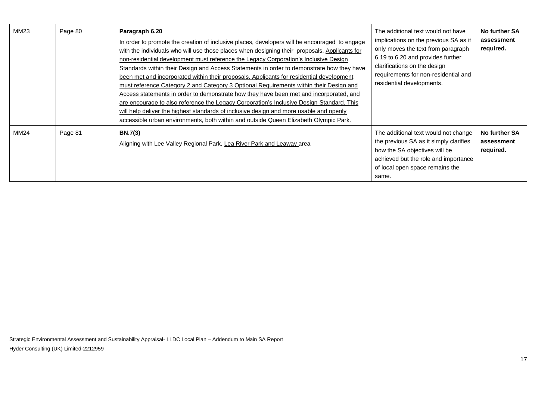| MM23 | Page 80 | Paragraph 6.20<br>In order to promote the creation of inclusive places, developers will be encouraged to engage<br>with the individuals who will use those places when designing their proposals. Applicants for<br>non-residential development must reference the Legacy Corporation's Inclusive Design<br>Standards within their Design and Access Statements in order to demonstrate how they have<br>been met and incorporated within their proposals. Applicants for residential development<br>must reference Category 2 and Category 3 Optional Requirements within their Design and<br>Access statements in order to demonstrate how they have been met and incorporated, and<br>are encourage to also reference the Legacy Corporation's Inclusive Design Standard. This<br>will help deliver the highest standards of inclusive design and more usable and openly<br>accessible urban environments, both within and outside Queen Elizabeth Olympic Park. | The additional text would not have<br>implications on the previous SA as it<br>only moves the text from paragraph<br>6.19 to 6.20 and provides further<br>clarifications on the design<br>requirements for non-residential and<br>residential developments. | No further SA<br>assessment<br>required. |
|------|---------|---------------------------------------------------------------------------------------------------------------------------------------------------------------------------------------------------------------------------------------------------------------------------------------------------------------------------------------------------------------------------------------------------------------------------------------------------------------------------------------------------------------------------------------------------------------------------------------------------------------------------------------------------------------------------------------------------------------------------------------------------------------------------------------------------------------------------------------------------------------------------------------------------------------------------------------------------------------------|-------------------------------------------------------------------------------------------------------------------------------------------------------------------------------------------------------------------------------------------------------------|------------------------------------------|
| MM24 | Page 81 | <b>BN.7(3)</b><br>Aligning with Lee Valley Regional Park, Lea River Park and Leaway area                                                                                                                                                                                                                                                                                                                                                                                                                                                                                                                                                                                                                                                                                                                                                                                                                                                                            | The additional text would not change<br>the previous SA as it simply clarifies<br>how the SA objectives will be<br>achieved but the role and importance<br>of local open space remains the<br>same.                                                         | No further SA<br>assessment<br>required. |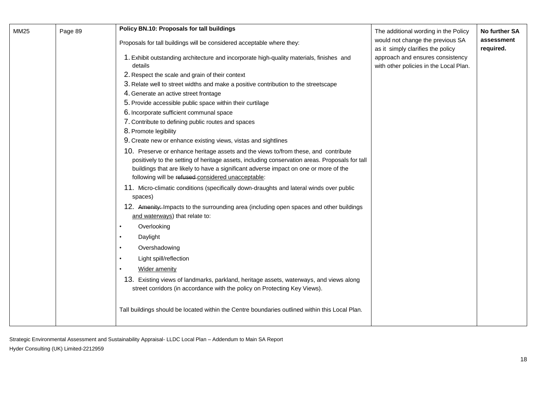| MM25 | Page 89 | Policy BN.10: Proposals for tall buildings<br>Proposals for tall buildings will be considered acceptable where they:                                                                                                                                                                                                                | The additional wording in the Policy<br>would not change the previous SA                                        | No further SA<br>assessment |
|------|---------|-------------------------------------------------------------------------------------------------------------------------------------------------------------------------------------------------------------------------------------------------------------------------------------------------------------------------------------|-----------------------------------------------------------------------------------------------------------------|-----------------------------|
|      |         | 1. Exhibit outstanding architecture and incorporate high-quality materials, finishes and<br>details                                                                                                                                                                                                                                 | as it simply clarifies the policy<br>approach and ensures consistency<br>with other policies in the Local Plan. | required.                   |
|      |         | 2. Respect the scale and grain of their context<br>3. Relate well to street widths and make a positive contribution to the streetscape                                                                                                                                                                                              |                                                                                                                 |                             |
|      |         | 4. Generate an active street frontage<br>5. Provide accessible public space within their curtilage                                                                                                                                                                                                                                  |                                                                                                                 |                             |
|      |         | 6. Incorporate sufficient communal space<br>7. Contribute to defining public routes and spaces<br>8. Promote legibility                                                                                                                                                                                                             |                                                                                                                 |                             |
|      |         | 9. Create new or enhance existing views, vistas and sightlines                                                                                                                                                                                                                                                                      |                                                                                                                 |                             |
|      |         | 10. Preserve or enhance heritage assets and the views to/from these, and contribute<br>positively to the setting of heritage assets, including conservation areas. Proposals for tall<br>buildings that are likely to have a significant adverse impact on one or more of the<br>following will be refused-considered unacceptable: |                                                                                                                 |                             |
|      |         | 11. Micro-climatic conditions (specifically down-draughts and lateral winds over public<br>spaces)                                                                                                                                                                                                                                  |                                                                                                                 |                             |
|      |         | 12. Amenity: Impacts to the surrounding area (including open spaces and other buildings<br>and waterways) that relate to:                                                                                                                                                                                                           |                                                                                                                 |                             |
|      |         | Overlooking                                                                                                                                                                                                                                                                                                                         |                                                                                                                 |                             |
|      |         | Daylight                                                                                                                                                                                                                                                                                                                            |                                                                                                                 |                             |
|      |         | Overshadowing                                                                                                                                                                                                                                                                                                                       |                                                                                                                 |                             |
|      |         | Light spill/reflection                                                                                                                                                                                                                                                                                                              |                                                                                                                 |                             |
|      |         | <b>Wider amenity</b>                                                                                                                                                                                                                                                                                                                |                                                                                                                 |                             |
|      |         | 13. Existing views of landmarks, parkland, heritage assets, waterways, and views along<br>street corridors (in accordance with the policy on Protecting Key Views).                                                                                                                                                                 |                                                                                                                 |                             |
|      |         | Tall buildings should be located within the Centre boundaries outlined within this Local Plan.                                                                                                                                                                                                                                      |                                                                                                                 |                             |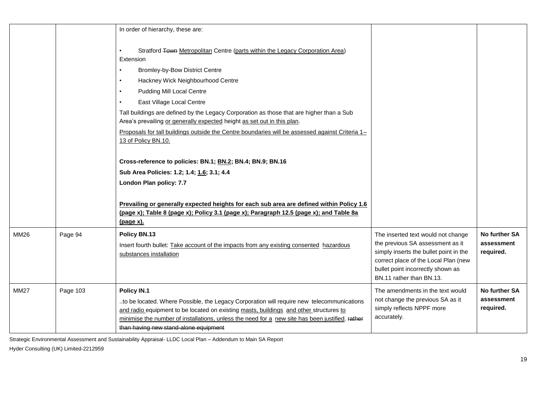|             |          | In order of hierarchy, these are:                                                                                                                                                                                                                                                                                                              |                                                                                                                                                                                                                           |                                                 |
|-------------|----------|------------------------------------------------------------------------------------------------------------------------------------------------------------------------------------------------------------------------------------------------------------------------------------------------------------------------------------------------|---------------------------------------------------------------------------------------------------------------------------------------------------------------------------------------------------------------------------|-------------------------------------------------|
|             |          | Stratford Town Metropolitan Centre (parts within the Legacy Corporation Area)<br>Extension<br><b>Bromley-by-Bow District Centre</b><br>Hackney Wick Neighbourhood Centre                                                                                                                                                                       |                                                                                                                                                                                                                           |                                                 |
|             |          | <b>Pudding Mill Local Centre</b><br>$\bullet$                                                                                                                                                                                                                                                                                                  |                                                                                                                                                                                                                           |                                                 |
|             |          | East Village Local Centre<br>Tall buildings are defined by the Legacy Corporation as those that are higher than a Sub<br>Area's prevailing or generally expected height as set out in this plan.<br>Proposals for tall buildings outside the Centre boundaries will be assessed against Criteria 1-<br>13 of Policy BN.10.                     |                                                                                                                                                                                                                           |                                                 |
|             |          | Cross-reference to policies: BN.1; BN.2; BN.4; BN.9; BN.16<br>Sub Area Policies: 1.2; 1.4; 1.6; 3.1; 4.4                                                                                                                                                                                                                                       |                                                                                                                                                                                                                           |                                                 |
|             |          | London Plan policy: 7.7                                                                                                                                                                                                                                                                                                                        |                                                                                                                                                                                                                           |                                                 |
|             |          | Prevailing or generally expected heights for each sub area are defined within Policy 1.6<br>(page x); Table 8 (page x); Policy 3.1 (page x); Paragraph 12.5 (page x); and Table 8a<br><u>(page x).</u>                                                                                                                                         |                                                                                                                                                                                                                           |                                                 |
| MM26        | Page 94  | Policy BN.13<br>Insert fourth bullet: Take account of the impacts from any existing consented hazardous<br>substances installation                                                                                                                                                                                                             | The inserted text would not change<br>the previous SA assessment as it<br>simply inserts the bullet point in the<br>correct place of the Local Plan (new<br>bullet point incorrectly shown as<br>BN.11 rather than BN.13. | No further SA<br>assessment<br>required.        |
| <b>MM27</b> | Page 103 | Policy IN.1<br>to be located. Where Possible, the Legacy Corporation will require new telecommunications<br>and radio equipment to be located on existing masts, buildings and other structures to<br>minimise the number of installations, unless the need for a new site has been justified. rather<br>than having new stand-alone equipment | The amendments in the text would<br>not change the previous SA as it<br>simply reflects NPPF more<br>accurately.                                                                                                          | <b>No further SA</b><br>assessment<br>required. |

Strategic Environmental Assessment and Sustainability Appraisal- LLDC Local Plan – Addendum to Main SA Report

Hyder Consulting (UK) Limited-2212959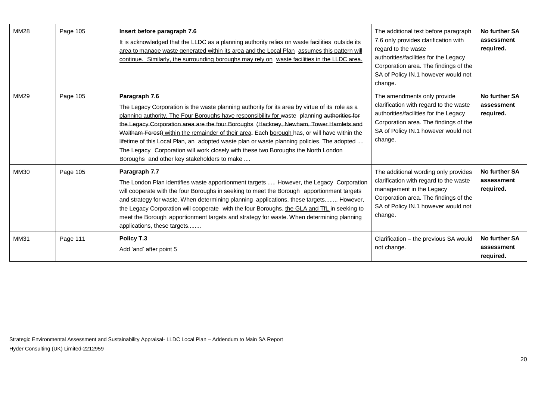| <b>MM28</b> | Page 105 | Insert before paragraph 7.6<br>It is acknowledged that the LLDC as a planning authority relies on waste facilities outside its<br>area to manage waste generated within its area and the Local Plan assumes this pattern will<br>continue. Similarly, the surrounding boroughs may rely on waste facilities in the LLDC area.                                                                                                                                                                                                                                                                                                               | The additional text before paragraph<br>7.6 only provides clarification with<br>regard to the waste<br>authorities/facilities for the Legacy<br>Corporation area. The findings of the<br>SA of Policy IN.1 however would not<br>change. | No further SA<br>assessment<br>required. |
|-------------|----------|---------------------------------------------------------------------------------------------------------------------------------------------------------------------------------------------------------------------------------------------------------------------------------------------------------------------------------------------------------------------------------------------------------------------------------------------------------------------------------------------------------------------------------------------------------------------------------------------------------------------------------------------|-----------------------------------------------------------------------------------------------------------------------------------------------------------------------------------------------------------------------------------------|------------------------------------------|
| <b>MM29</b> | Page 105 | Paragraph 7.6<br>The Legacy Corporation is the waste planning authority for its area by virtue of its role as a<br>planning authority. The Four Boroughs have responsibility for waste planning authorities for<br>the Legacy Corporation area are the four Boroughs (Hackney, Newham, Tower Hamlets and<br>Waltham Forest) within the remainder of their area. Each borough has, or will have within the<br>lifetime of this Local Plan, an adopted waste plan or waste planning policies. The adopted<br>The Legacy Corporation will work closely with these two Boroughs the North London<br>Boroughs and other key stakeholders to make | The amendments only provide<br>clarification with regard to the waste<br>authorities/facilities for the Legacy<br>Corporation area. The findings of the<br>SA of Policy IN.1 however would not<br>change.                               | No further SA<br>assessment<br>required. |
| MM30        | Page 105 | Paragraph 7.7<br>The London Plan identifies waste apportionment targets  However, the Legacy Corporation<br>will cooperate with the four Boroughs in seeking to meet the Borough apportionment targets<br>and strategy for waste. When determining planning applications, these targets However,<br>the Legacy Corporation will cooperate with the four Boroughs, the GLA and TfL in seeking to<br>meet the Borough apportionment targets and strategy for waste. When determining planning<br>applications, these targets                                                                                                                  | The additional wording only provides<br>clarification with regard to the waste<br>management in the Legacy<br>Corporation area. The findings of the<br>SA of Policy IN.1 however would not<br>change.                                   | No further SA<br>assessment<br>required. |
| <b>MM31</b> | Page 111 | Policy T.3<br>Add 'and' after point 5                                                                                                                                                                                                                                                                                                                                                                                                                                                                                                                                                                                                       | Clarification - the previous SA would<br>not change.                                                                                                                                                                                    | No further SA<br>assessment<br>required. |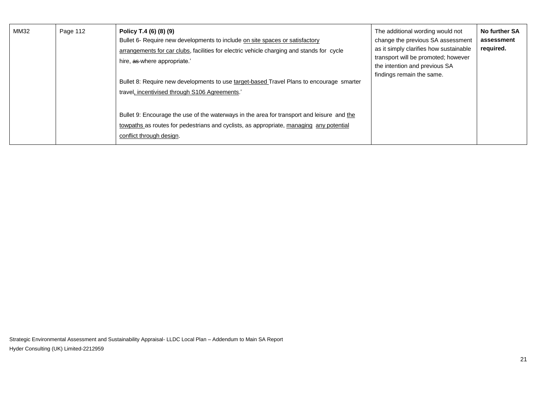| MM32 | Page 112 | Policy T.4 (6) (8) (9)<br>Bullet 6- Require new developments to include on site spaces or satisfactory<br>arrangements for car clubs, facilities for electric vehicle charging and stands for cycle<br>hire, as where appropriate.'<br>Bullet 8: Require new developments to use target-based Travel Plans to encourage smarter<br>travel, incentivised through S106 Agreements.' | The additional wording would not<br>change the previous SA assessment<br>as it simply clarifies how sustainable<br>transport will be promoted; however<br>the intention and previous SA<br>findings remain the same. | No further SA<br>assessment<br>required. |
|------|----------|-----------------------------------------------------------------------------------------------------------------------------------------------------------------------------------------------------------------------------------------------------------------------------------------------------------------------------------------------------------------------------------|----------------------------------------------------------------------------------------------------------------------------------------------------------------------------------------------------------------------|------------------------------------------|
|      |          | Bullet 9: Encourage the use of the waterways in the area for transport and leisure and the<br>towpaths as routes for pedestrians and cyclists, as appropriate, managing any potential<br>conflict through design.                                                                                                                                                                 |                                                                                                                                                                                                                      |                                          |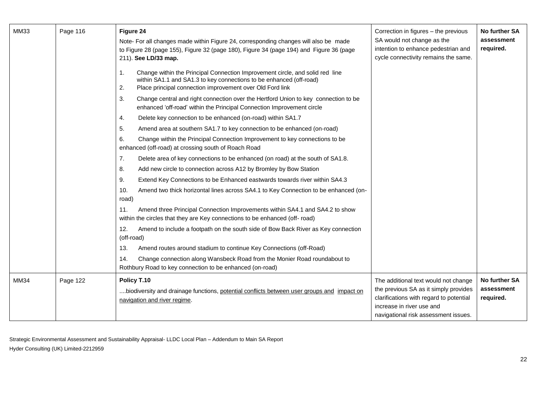| <b>MM33</b> | Page 116 | Figure 24<br>Note- For all changes made within Figure 24, corresponding changes will also be made<br>to Figure 28 (page 155), Figure 32 (page 180), Figure 34 (page 194) and Figure 36 (page<br>211). See LD/33 map.          | Correction in figures - the previous<br>SA would not change as the<br>intention to enhance pedestrian and<br>cycle connectivity remains the same.     | <b>No further SA</b><br>assessment<br>required. |
|-------------|----------|-------------------------------------------------------------------------------------------------------------------------------------------------------------------------------------------------------------------------------|-------------------------------------------------------------------------------------------------------------------------------------------------------|-------------------------------------------------|
|             |          | Change within the Principal Connection Improvement circle, and solid red line<br>1.<br>within SA1.1 and SA1.3 to key connections to be enhanced (off-road)<br>Place principal connection improvement over Old Ford link<br>2. |                                                                                                                                                       |                                                 |
|             |          | 3.<br>Change central and right connection over the Hertford Union to key connection to be<br>enhanced 'off-road' within the Principal Connection Improvement circle                                                           |                                                                                                                                                       |                                                 |
|             |          | Delete key connection to be enhanced (on-road) within SA1.7<br>4.                                                                                                                                                             |                                                                                                                                                       |                                                 |
|             |          | 5.<br>Amend area at southern SA1.7 to key connection to be enhanced (on-road)                                                                                                                                                 |                                                                                                                                                       |                                                 |
|             |          | 6.<br>Change within the Principal Connection Improvement to key connections to be<br>enhanced (off-road) at crossing south of Roach Road                                                                                      |                                                                                                                                                       |                                                 |
|             |          | 7.<br>Delete area of key connections to be enhanced (on road) at the south of SA1.8.                                                                                                                                          |                                                                                                                                                       |                                                 |
|             |          | Add new circle to connection across A12 by Bromley by Bow Station<br>8.                                                                                                                                                       |                                                                                                                                                       |                                                 |
|             |          | 9.<br>Extend Key Connections to be Enhanced eastwards towards river within SA4.3                                                                                                                                              |                                                                                                                                                       |                                                 |
|             |          | Amend two thick horizontal lines across SA4.1 to Key Connection to be enhanced (on-<br>10.<br>road)                                                                                                                           |                                                                                                                                                       |                                                 |
|             |          | Amend three Principal Connection Improvements within SA4.1 and SA4.2 to show<br>11.<br>within the circles that they are Key connections to be enhanced (off- road)                                                            |                                                                                                                                                       |                                                 |
|             |          | Amend to include a footpath on the south side of Bow Back River as Key connection<br>12.<br>(off-road)                                                                                                                        |                                                                                                                                                       |                                                 |
|             |          | 13.<br>Amend routes around stadium to continue Key Connections (off-Road)                                                                                                                                                     |                                                                                                                                                       |                                                 |
|             |          | 14.<br>Change connection along Wansbeck Road from the Monier Road roundabout to<br>Rothbury Road to key connection to be enhanced (on-road)                                                                                   |                                                                                                                                                       |                                                 |
| <b>MM34</b> | Page 122 | Policy T.10                                                                                                                                                                                                                   | The additional text would not change                                                                                                                  | No further SA                                   |
|             |          | biodiversity and drainage functions, potential conflicts between user groups and impact on<br>navigation and river regime.                                                                                                    | the previous SA as it simply provides<br>clarifications with regard to potential<br>increase in river use and<br>navigational risk assessment issues. | assessment<br>required.                         |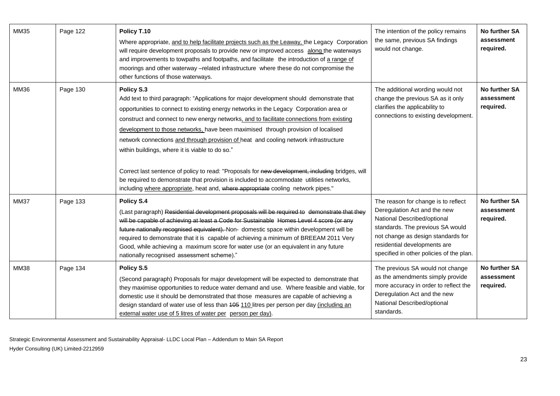| MM35        | Page 122 | Policy T.10<br>Where appropriate, and to help facilitate projects such as the Leaway, the Legacy Corporation<br>will require development proposals to provide new or improved access along the waterways<br>and improvements to towpaths and footpaths, and facilitate the introduction of a range of<br>moorings and other waterway -related infrastructure where these do not compromise the<br>other functions of those waterways.                                                                                                                                                                                                                                                                                                                                                                             | The intention of the policy remains<br>the same, previous SA findings<br>would not change.                                                                                                                                                               | No further SA<br>assessment<br>required.        |
|-------------|----------|-------------------------------------------------------------------------------------------------------------------------------------------------------------------------------------------------------------------------------------------------------------------------------------------------------------------------------------------------------------------------------------------------------------------------------------------------------------------------------------------------------------------------------------------------------------------------------------------------------------------------------------------------------------------------------------------------------------------------------------------------------------------------------------------------------------------|----------------------------------------------------------------------------------------------------------------------------------------------------------------------------------------------------------------------------------------------------------|-------------------------------------------------|
| <b>MM36</b> | Page 130 | Policy S.3<br>Add text to third paragraph: "Applications for major development should demonstrate that<br>opportunities to connect to existing energy networks in the Legacy Corporation area or<br>construct and connect to new energy networks, and to facilitate connections from existing<br>development to those networks, have been maximised through provision of localised<br>network connections and through provision of heat and cooling network infrastructure<br>within buildings, where it is viable to do so."<br>Correct last sentence of policy to read: "Proposals for new development, including bridges, will<br>be required to demonstrate that provision is included to accommodate utilities networks,<br>including where appropriate, heat and, where appropriate cooling network pipes." | The additional wording would not<br>change the previous SA as it only<br>clarifies the applicability to<br>connections to existing development.                                                                                                          | <b>No further SA</b><br>assessment<br>required. |
| <b>MM37</b> | Page 133 | Policy S.4<br>(Last paragraph) Residential development proposals will be required to demonstrate that they<br>will be capable of achieving at least a Code for Sustainable Homes Level 4 score (or any<br>future nationally recognised equivalent). Non- domestic space within development will be<br>required to demonstrate that it is capable of achieving a minimum of BREEAM 2011 Very<br>Good, while achieving a maximum score for water use (or an equivalent in any future<br>nationally recognised assessment scheme)."                                                                                                                                                                                                                                                                                  | The reason for change is to reflect<br>Deregulation Act and the new<br>National Described/optional<br>standards. The previous SA would<br>not change as design standards for<br>residential developments are<br>specified in other policies of the plan. | No further SA<br>assessment<br>required.        |
| <b>MM38</b> | Page 134 | Policy S.5<br>(Second paragraph) Proposals for major development will be expected to demonstrate that<br>they maximise opportunities to reduce water demand and use. Where feasible and viable, for<br>domestic use it should be demonstrated that those measures are capable of achieving a<br>design standard of water use of less than 405 110 litres per person per day (including an<br>external water use of 5 litres of water per person per day).                                                                                                                                                                                                                                                                                                                                                         | The previous SA would not change<br>as the amendments simply provide<br>more accuracy in order to reflect the<br>Deregulation Act and the new<br>National Described/optional<br>standards.                                                               | <b>No further SA</b><br>assessment<br>required. |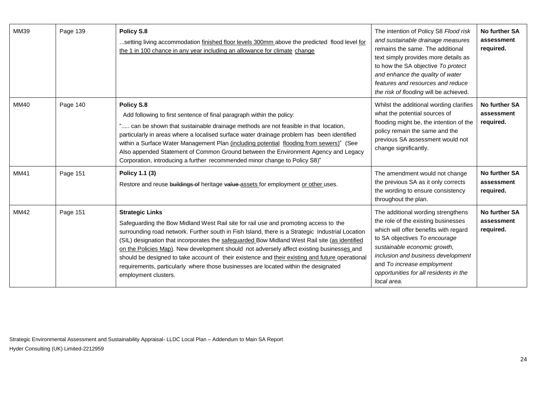| MM39        | Page 139 | Policy S.8<br>setting living accommodation finished floor levels 300mm above the predicted flood level for<br>the 1 in 100 chance in any year including an allowance for climate change                                                                                                                                                                                                                                                                                                                                                                                                                                            | The intention of Policy S8 Flood risk<br>and sustainable drainage measures<br>remains the same. The additional<br>text simply provides more details as<br>to how the SA objective To protect<br>and enhance the quality of water<br>features and resources and reduce<br>the risk of flooding will be achieved.  | <b>No further SA</b><br>assessment<br>required. |
|-------------|----------|------------------------------------------------------------------------------------------------------------------------------------------------------------------------------------------------------------------------------------------------------------------------------------------------------------------------------------------------------------------------------------------------------------------------------------------------------------------------------------------------------------------------------------------------------------------------------------------------------------------------------------|------------------------------------------------------------------------------------------------------------------------------------------------------------------------------------------------------------------------------------------------------------------------------------------------------------------|-------------------------------------------------|
| <b>MM40</b> | Page 140 | Policy S.8<br>Add following to first sentence of final paragraph within the policy:<br>" can be shown that sustainable drainage methods are not feasible in that location,<br>particularly in areas where a localised surface water drainage problem has been identified<br>within a Surface Water Management Plan (including potential flooding from sewers)" (See<br>Also appended Statement of Common Ground between the Environment Agency and Legacy<br>Corporation, introducing a further recommended minor change to Policy S8)"                                                                                            | Whilst the additional wording clarifies<br>what the potential sources of<br>flooding might be, the intention of the<br>policy remain the same and the<br>previous SA assessment would not<br>change significantly.                                                                                               | No further SA<br>assessment<br>required.        |
| <b>MM41</b> | Page 151 | Policy 1.1 (3)<br>Restore and reuse buildings of heritage value assets for employment or other uses.                                                                                                                                                                                                                                                                                                                                                                                                                                                                                                                               | The amendment would not change<br>the previous SA as it only corrects<br>the wording to ensure consistency<br>throughout the plan.                                                                                                                                                                               | No further SA<br>assessment<br>required.        |
| <b>MM42</b> | Page 151 | <b>Strategic Links</b><br>Safeguarding the Bow Midland West Rail site for rail use and promoting access to the<br>surrounding road network. Further south in Fish Island, there is a Strategic Industrial Location<br>(SIL) designation that incorporates the safeguarded Bow Midland West Rail site (as identified<br>on the Policies Map). New development should not adversely affect existing businesses and<br>should be designed to take account of their existence and their existing and future operational<br>requirements, particularly where those businesses are located within the designated<br>employment clusters. | The additional wording strengthens<br>the role of the existing businesses<br>which will offer benefits with regard<br>to SA objectives To encourage<br>sustainable economic growth,<br>inclusion and business development<br>and To increase employment<br>opportunities for all residents in the<br>local area. | No further SA<br>assessment<br>required.        |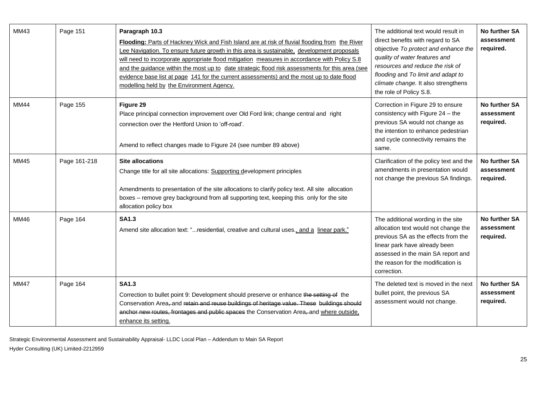| MM43        | Page 151     | Paragraph 10.3<br>Flooding: Parts of Hackney Wick and Fish Island are at risk of fluvial flooding from the River<br>Lee Navigation. To ensure future growth in this area is sustainable, development proposals<br>will need to incorporate appropriate flood mitigation measures in accordance with Policy S.8<br>and the quidance within the most up to date strategic flood risk assessments for this area (see<br>evidence base list at page 141 for the current assessments) and the most up to date flood<br>modelling held by the Environment Agency. | The additional text would result in<br>direct benefits with regard to SA<br>objective To protect and enhance the<br>quality of water features and<br>resources and reduce the risk of<br>flooding and To limit and adapt to<br>climate change. It also strengthens<br>the role of Policy S.8. | No further SA<br>assessment<br>required.        |
|-------------|--------------|-------------------------------------------------------------------------------------------------------------------------------------------------------------------------------------------------------------------------------------------------------------------------------------------------------------------------------------------------------------------------------------------------------------------------------------------------------------------------------------------------------------------------------------------------------------|-----------------------------------------------------------------------------------------------------------------------------------------------------------------------------------------------------------------------------------------------------------------------------------------------|-------------------------------------------------|
| <b>MM44</b> | Page 155     | Figure 29<br>Place principal connection improvement over Old Ford link; change central and right<br>connection over the Hertford Union to 'off-road'.<br>Amend to reflect changes made to Figure 24 (see number 89 above)                                                                                                                                                                                                                                                                                                                                   | Correction in Figure 29 to ensure<br>consistency with Figure 24 - the<br>previous SA would not change as<br>the intention to enhance pedestrian<br>and cycle connectivity remains the<br>same.                                                                                                | <b>No further SA</b><br>assessment<br>required. |
| MM45        | Page 161-218 | <b>Site allocations</b><br>Change title for all site allocations: Supporting development principles<br>Amendments to presentation of the site allocations to clarify policy text. All site allocation<br>boxes - remove grey background from all supporting text, keeping this only for the site<br>allocation policy box                                                                                                                                                                                                                                   | Clarification of the policy text and the<br>amendments in presentation would<br>not change the previous SA findings.                                                                                                                                                                          | No further SA<br>assessment<br>required.        |
| MM46        | Page 164     | <b>SA1.3</b><br>Amend site allocation text: "residential, creative and cultural uses., and a linear park."                                                                                                                                                                                                                                                                                                                                                                                                                                                  | The additional wording in the site<br>allocation text would not change the<br>previous SA as the effects from the<br>linear park have already been<br>assessed in the main SA report and<br>the reason for the modification is<br>correction.                                                 | No further SA<br>assessment<br>required.        |
| <b>MM47</b> | Page 164     | <b>SA1.3</b><br>Correction to bullet point 9: Development should preserve or enhance the setting of the<br>Conservation Area-and retain and reuse buildings of heritage value. These buildings should<br>anchor new routes, frontages and public spaces the Conservation Area-and where outside,<br>enhance its setting.                                                                                                                                                                                                                                    | The deleted text is moved in the next<br>bullet point, the previous SA<br>assessment would not change.                                                                                                                                                                                        | No further SA<br>assessment<br>required.        |

Strategic Environmental Assessment and Sustainability Appraisal- LLDC Local Plan – Addendum to Main SA Report

Hyder Consulting (UK) Limited-2212959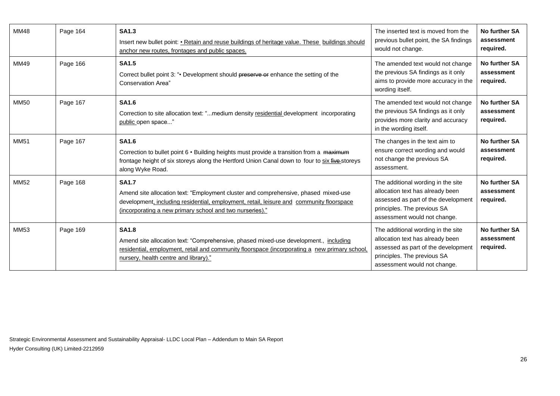| <b>MM48</b> | Page 164 | <b>SA1.3</b><br>Insert new bullet point: • Retain and reuse buildings of heritage value. These buildings should<br>anchor new routes, frontages and public spaces.                                                                                          | The inserted text is moved from the<br>previous bullet point, the SA findings<br>would not change.                                                                           | No further SA<br>assessment<br>required. |
|-------------|----------|-------------------------------------------------------------------------------------------------------------------------------------------------------------------------------------------------------------------------------------------------------------|------------------------------------------------------------------------------------------------------------------------------------------------------------------------------|------------------------------------------|
| MM49        | Page 166 | <b>SA1.5</b><br>Correct bullet point 3: ". Development should preserve or enhance the setting of the<br>Conservation Area"                                                                                                                                  | The amended text would not change<br>the previous SA findings as it only<br>aims to provide more accuracy in the<br>wording itself.                                          | No further SA<br>assessment<br>required. |
| <b>MM50</b> | Page 167 | <b>SA1.6</b><br>Correction to site allocation text: "medium density residential development incorporating<br>public open space"                                                                                                                             | The amended text would not change<br>the previous SA findings as it only<br>provides more clarity and accuracy<br>in the wording itself.                                     | No further SA<br>assessment<br>required. |
| <b>MM51</b> | Page 167 | <b>SA1.6</b><br>Correction to bullet point 6 • Building heights must provide a transition from a maximum<br>frontage height of six storeys along the Hertford Union Canal down to four to six five-storeys<br>along Wyke Road.                              | The changes in the text aim to<br>ensure correct wording and would<br>not change the previous SA<br>assessment.                                                              | No further SA<br>assessment<br>required. |
| <b>MM52</b> | Page 168 | <b>SA1.7</b><br>Amend site allocation text: "Employment cluster and comprehensive, phased mixed-use<br>development, including residential, employment, retail, leisure and community floorspace<br>(incorporating a new primary school and two nurseries)." | The additional wording in the site<br>allocation text has already been<br>assessed as part of the development<br>principles. The previous SA<br>assessment would not change. | No further SA<br>assessment<br>required. |
| <b>MM53</b> | Page 169 | <b>SA1.8</b><br>Amend site allocation text: "Comprehensive, phased mixed-use development., including<br>residential, employment, retail and community floorspace (incorporating a new primary school,<br>nursery, health centre and library)."              | The additional wording in the site<br>allocation text has already been<br>assessed as part of the development<br>principles. The previous SA<br>assessment would not change. | No further SA<br>assessment<br>required. |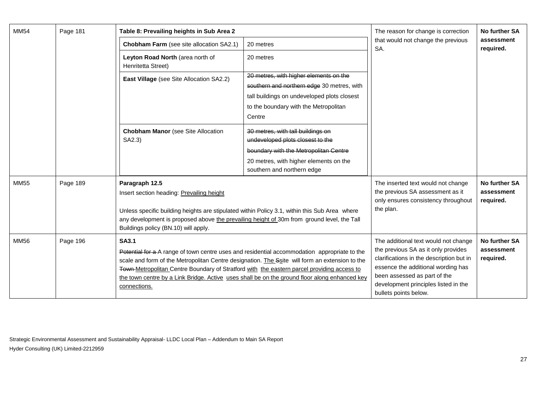| <b>MM54</b> | Page 181 | Table 8: Prevailing heights in Sub Area 2                                                                                                                                                                                                                                                                                    |                                                                                                                                                                                        | The reason for change is correction                                                                                                                                                                                                                            | No further SA                                   |
|-------------|----------|------------------------------------------------------------------------------------------------------------------------------------------------------------------------------------------------------------------------------------------------------------------------------------------------------------------------------|----------------------------------------------------------------------------------------------------------------------------------------------------------------------------------------|----------------------------------------------------------------------------------------------------------------------------------------------------------------------------------------------------------------------------------------------------------------|-------------------------------------------------|
|             |          | Chobham Farm (see site allocation SA2.1)                                                                                                                                                                                                                                                                                     | 20 metres                                                                                                                                                                              | that would not change the previous<br>SA.                                                                                                                                                                                                                      | assessment<br>required.                         |
|             |          | Leyton Road North (area north of<br>Henritetta Street)                                                                                                                                                                                                                                                                       | 20 metres                                                                                                                                                                              |                                                                                                                                                                                                                                                                |                                                 |
|             |          | East Village (see Site Allocation SA2.2)                                                                                                                                                                                                                                                                                     | 20 metres, with higher elements on the<br>southern and northern edge 30 metres, with<br>tall buildings on undeveloped plots closest<br>to the boundary with the Metropolitan<br>Centre |                                                                                                                                                                                                                                                                |                                                 |
|             |          | <b>Chobham Manor</b> (see Site Allocation<br>SA2.3)                                                                                                                                                                                                                                                                          | 30 metres, with tall buildings on<br>undeveloped plots closest to the<br>boundary with the Metropolitan Centre<br>20 metres, with higher elements on the<br>southern and northern edge |                                                                                                                                                                                                                                                                |                                                 |
| <b>MM55</b> | Page 189 | Paragraph 12.5<br>Insert section heading: Prevailing height<br>Unless specific building heights are stipulated within Policy 3.1, within this Sub Area where<br>any development is proposed above the prevailing height of 30m from ground level, the Tall<br>Buildings policy (BN.10) will apply.                           |                                                                                                                                                                                        | The inserted text would not change<br>the previous SA assessment as it<br>only ensures consistency throughout<br>the plan.                                                                                                                                     | <b>No further SA</b><br>assessment<br>required. |
| <b>MM56</b> | Page 196 | <b>SA3.1</b><br>Potential for a A range of town centre uses and residential accommodation appropriate to the<br>scale and form of the Metropolitan Centre designation. The Ssite will form an extension to the<br>Town-Metropolitan Centre Boundary of Stratford with the eastern parcel providing access to<br>connections. | the town centre by a Link Bridge. Active uses shall be on the ground floor along enhanced key                                                                                          | The additional text would not change<br>the previous SA as it only provides<br>clarifications in the description but in<br>essence the additional wording has<br>been assessed as part of the<br>development principles listed in the<br>bullets points below. | No further SA<br>assessment<br>required.        |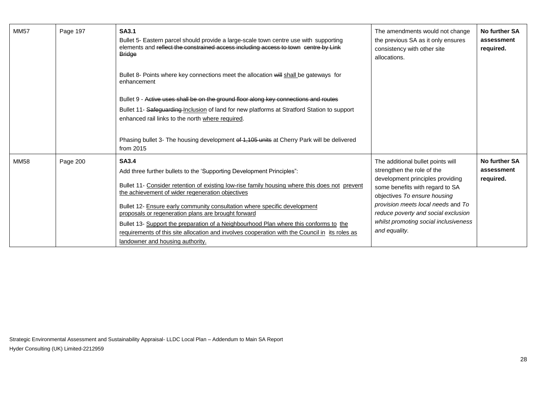| <b>MM57</b> | Page 197 | <b>SA3.1</b><br>Bullet 5- Eastern parcel should provide a large-scale town centre use with supporting<br>elements and reflect the constrained access including access to town centre by Link<br><b>Bridge</b>                                                                                                                                                                                                                                                                                                                                                                                                 | The amendments would not change<br>the previous SA as it only ensures<br>consistency with other site<br>allocations.                                                                                                                                                                                          | No further SA<br>assessment<br>required. |
|-------------|----------|---------------------------------------------------------------------------------------------------------------------------------------------------------------------------------------------------------------------------------------------------------------------------------------------------------------------------------------------------------------------------------------------------------------------------------------------------------------------------------------------------------------------------------------------------------------------------------------------------------------|---------------------------------------------------------------------------------------------------------------------------------------------------------------------------------------------------------------------------------------------------------------------------------------------------------------|------------------------------------------|
|             |          | Bullet 8- Points where key connections meet the allocation will shall be gateways for<br>enhancement                                                                                                                                                                                                                                                                                                                                                                                                                                                                                                          |                                                                                                                                                                                                                                                                                                               |                                          |
|             |          | Bullet 9 - Active uses shall be on the ground floor along key connections and routes                                                                                                                                                                                                                                                                                                                                                                                                                                                                                                                          |                                                                                                                                                                                                                                                                                                               |                                          |
|             |          | Bullet 11- Safeguarding-Inclusion of land for new platforms at Stratford Station to support<br>enhanced rail links to the north where required.                                                                                                                                                                                                                                                                                                                                                                                                                                                               |                                                                                                                                                                                                                                                                                                               |                                          |
|             |          | Phasing bullet 3- The housing development of 1,105 units at Cherry Park will be delivered<br>from 2015                                                                                                                                                                                                                                                                                                                                                                                                                                                                                                        |                                                                                                                                                                                                                                                                                                               |                                          |
| <b>MM58</b> | Page 200 | <b>SA3.4</b><br>Add three further bullets to the 'Supporting Development Principles":<br>Bullet 11- Consider retention of existing low-rise family housing where this does not prevent<br>the achievement of wider regeneration objectives<br>Bullet 12- Ensure early community consultation where specific development<br>proposals or regeneration plans are brought forward<br>Bullet 13- Support the preparation of a Neighbourhood Plan where this conforms to the<br>requirements of this site allocation and involves cooperation with the Council in its roles as<br>landowner and housing authority. | The additional bullet points will<br>strengthen the role of the<br>development principles providing<br>some benefits with regard to SA<br>objectives To ensure housing<br>provision meets local needs and To<br>reduce poverty and social exclusion<br>whilst promoting social inclusiveness<br>and equality. | No further SA<br>assessment<br>required. |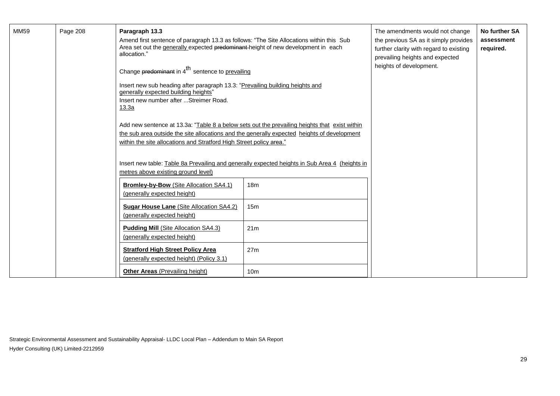| MM59 | Page 208 | Paragraph 13.3<br>Amend first sentence of paragraph 13.3 as follows: "The Site Allocations within this Sub<br>Area set out the generally expected predominant-height of new development in each<br>allocation."<br>Change predominant in $4^{\text{th}}$ sentence to prevailing<br>Insert new sub heading after paragraph 13.3: "Prevailing building heights and<br>generally expected building heights"<br>Insert new number after  Streimer Road.<br>13.3a<br>Add new sentence at 13.3a: "Table 8 a below sets out the prevailing heights that exist within<br>the sub area outside the site allocations and the generally expected heights of development<br>within the site allocations and Stratford High Street policy area."<br>Insert new table: Table 8a Prevailing and generally expected heights in Sub Area 4 (heights in<br>metres above existing ground level) |                 | The amendments would not change<br>the previous SA as it simply provides<br>further clarity with regard to existing<br>prevailing heights and expected<br>heights of development. | No further SA<br>assessment<br>required. |
|------|----------|------------------------------------------------------------------------------------------------------------------------------------------------------------------------------------------------------------------------------------------------------------------------------------------------------------------------------------------------------------------------------------------------------------------------------------------------------------------------------------------------------------------------------------------------------------------------------------------------------------------------------------------------------------------------------------------------------------------------------------------------------------------------------------------------------------------------------------------------------------------------------|-----------------|-----------------------------------------------------------------------------------------------------------------------------------------------------------------------------------|------------------------------------------|
|      |          | Bromley-by-Bow (Site Allocation SA4.1)<br>(generally expected height)                                                                                                                                                                                                                                                                                                                                                                                                                                                                                                                                                                                                                                                                                                                                                                                                        | 18 <sub>m</sub> |                                                                                                                                                                                   |                                          |
|      |          | Sugar House Lane (Site Allocation SA4.2)<br>(generally expected height)                                                                                                                                                                                                                                                                                                                                                                                                                                                                                                                                                                                                                                                                                                                                                                                                      | 15m             |                                                                                                                                                                                   |                                          |
|      |          | <b>Pudding Mill (Site Allocation SA4.3)</b><br>(generally expected height)                                                                                                                                                                                                                                                                                                                                                                                                                                                                                                                                                                                                                                                                                                                                                                                                   | 21m             |                                                                                                                                                                                   |                                          |
|      |          | <b>Stratford High Street Policy Area</b><br>(generally expected height) (Policy 3.1)                                                                                                                                                                                                                                                                                                                                                                                                                                                                                                                                                                                                                                                                                                                                                                                         | 27 <sub>m</sub> |                                                                                                                                                                                   |                                          |
|      |          | <b>Other Areas</b> (Prevailing height)                                                                                                                                                                                                                                                                                                                                                                                                                                                                                                                                                                                                                                                                                                                                                                                                                                       | 10 <sub>m</sub> |                                                                                                                                                                                   |                                          |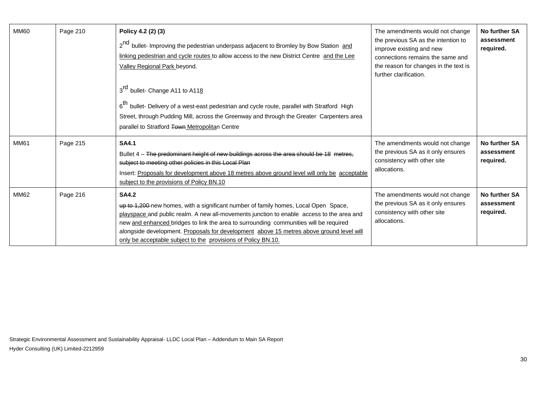| <b>MM60</b> | Page 210 | Policy 4.2 (2) (3)<br>2 <sup>nd</sup> bullet- Improving the pedestrian underpass adjacent to Bromley by Bow Station and<br>linking pedestrian and cycle routes to allow access to the new District Centre and the Lee<br>Valley Regional Park beyond.                                                                                                                                                                                                  | The amendments would not change<br>the previous SA as the intention to<br>improve existing and new<br>connections remains the same and<br>the reason for changes in the text is<br>further clarification. | No further SA<br>assessment<br>required. |
|-------------|----------|--------------------------------------------------------------------------------------------------------------------------------------------------------------------------------------------------------------------------------------------------------------------------------------------------------------------------------------------------------------------------------------------------------------------------------------------------------|-----------------------------------------------------------------------------------------------------------------------------------------------------------------------------------------------------------|------------------------------------------|
|             |          | 3 <sup>rd</sup> bullet- Change A11 to A118<br>6 <sup>th</sup> bullet- Delivery of a west-east pedestrian and cycle route, parallel with Stratford High<br>Street, through Pudding Mill, across the Greenway and through the Greater Carpenters area<br>parallel to Stratford Town Metropolitan Centre                                                                                                                                                  |                                                                                                                                                                                                           |                                          |
| <b>MM61</b> | Page 215 | <b>SA4.1</b><br>Bullet 4 - The predominant height of new buildings across the area should be 18 metres.<br>subject to meeting other policies in this Local Plan<br>Insert: Proposals for development above 18 metres above ground level will only be acceptable<br>subject to the provisions of Policy BN.10                                                                                                                                           | The amendments would not change<br>the previous SA as it only ensures<br>consistency with other site<br>allocations.                                                                                      | No further SA<br>assessment<br>required. |
| <b>MM62</b> | Page 216 | <b>SA4.2</b><br>up to 1,200-new homes, with a significant number of family homes, Local Open Space,<br>playspace and public realm. A new all-movements junction to enable access to the area and<br>new and enhanced bridges to link the area to surrounding communities will be required<br>alongside development. Proposals for development above 15 metres above ground level will<br>only be acceptable subject to the provisions of Policy BN.10. | The amendments would not change<br>the previous SA as it only ensures<br>consistency with other site<br>allocations.                                                                                      | No further SA<br>assessment<br>required. |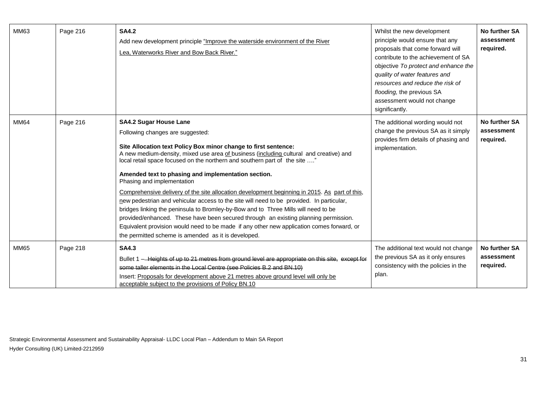| MM63        | Page 216 | <b>SA4.2</b><br>Add new development principle "Improve the waterside environment of the River<br>Lea, Waterworks River and Bow Back River."                                                                                                                                                                                                                                                                                                                                                                                                                                                                                                                                                                                                                                                                                                                                                                                     | Whilst the new development<br>principle would ensure that any<br>proposals that come forward will<br>contribute to the achievement of SA<br>objective To protect and enhance the<br>quality of water features and<br>resources and reduce the risk of<br>flooding, the previous SA<br>assessment would not change<br>significantly. | No further SA<br>assessment<br>required. |
|-------------|----------|---------------------------------------------------------------------------------------------------------------------------------------------------------------------------------------------------------------------------------------------------------------------------------------------------------------------------------------------------------------------------------------------------------------------------------------------------------------------------------------------------------------------------------------------------------------------------------------------------------------------------------------------------------------------------------------------------------------------------------------------------------------------------------------------------------------------------------------------------------------------------------------------------------------------------------|-------------------------------------------------------------------------------------------------------------------------------------------------------------------------------------------------------------------------------------------------------------------------------------------------------------------------------------|------------------------------------------|
| MM64        | Page 216 | <b>SA4.2 Sugar House Lane</b><br>Following changes are suggested:<br>Site Allocation text Policy Box minor change to first sentence:<br>A new medium-density, mixed use area of business (including cultural and creative) and<br>local retail space focused on the northern and southern part of the site "<br>Amended text to phasing and implementation section.<br>Phasing and implementation<br>Comprehensive delivery of the site allocation development beginning in 2015. As part of this,<br>new pedestrian and vehicular access to the site will need to be provided. In particular,<br>bridges linking the peninsula to Bromley-by-Bow and to Three Mills will need to be<br>provided/enhanced. These have been secured through an existing planning permission.<br>Equivalent provision would need to be made if any other new application comes forward, or<br>the permitted scheme is amended as it is developed. | The additional wording would not<br>change the previous SA as it simply<br>provides firm details of phasing and<br>implementation.                                                                                                                                                                                                  | No further SA<br>assessment<br>required. |
| <b>MM65</b> | Page 218 | <b>SA4.3</b><br>Bullet 1 - Heights of up to 21 metres from ground level are appropriate on this site, except for<br>some taller elements in the Local Centre (see Policies B.2 and BN.10)<br>Insert: Proposals for development above 21 metres above ground level will only be<br>acceptable subject to the provisions of Policy BN.10                                                                                                                                                                                                                                                                                                                                                                                                                                                                                                                                                                                          | The additional text would not change<br>the previous SA as it only ensures<br>consistency with the policies in the<br>plan.                                                                                                                                                                                                         | No further SA<br>assessment<br>required. |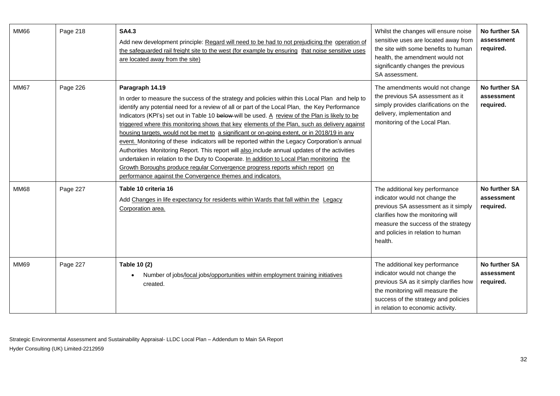| MM66        | Page 218 | <b>SA4.3</b><br>Add new development principle: Regard will need to be had to not prejudicing the operation of<br>the safeguarded rail freight site to the west (for example by ensuring that noise sensitive uses<br>are located away from the site)                                                                                                                                                                                                                                                                                                                                                                                                                                                                                                                                                                                                                                                                                                                 | Whilst the changes will ensure noise<br>sensitive uses are located away from<br>the site with some benefits to human<br>health, the amendment would not<br>significantly changes the previous<br>SA assessment.                     | No further SA<br>assessment<br>required.        |
|-------------|----------|----------------------------------------------------------------------------------------------------------------------------------------------------------------------------------------------------------------------------------------------------------------------------------------------------------------------------------------------------------------------------------------------------------------------------------------------------------------------------------------------------------------------------------------------------------------------------------------------------------------------------------------------------------------------------------------------------------------------------------------------------------------------------------------------------------------------------------------------------------------------------------------------------------------------------------------------------------------------|-------------------------------------------------------------------------------------------------------------------------------------------------------------------------------------------------------------------------------------|-------------------------------------------------|
| <b>MM67</b> | Page 226 | Paragraph 14.19<br>In order to measure the success of the strategy and policies within this Local Plan and help to<br>identify any potential need for a review of all or part of the Local Plan, the Key Performance<br>Indicators (KPI's) set out in Table 10 below-will be used. A review of the Plan is likely to be<br>triggered where this monitoring shows that key elements of the Plan, such as delivery against<br>housing targets, would not be met to a significant or on-going extent, or in 2018/19 in any<br>event. Monitoring of these indicators will be reported within the Legacy Corporation's annual<br>Authorities Monitoring Report. This report will also include annual updates of the activities<br>undertaken in relation to the Duty to Cooperate. In addition to Local Plan monitoring the<br>Growth Boroughs produce regular Convergence progress reports which report on<br>performance against the Convergence themes and indicators. | The amendments would not change<br>the previous SA assessment as it<br>simply provides clarifications on the<br>delivery, implementation and<br>monitoring of the Local Plan.                                                       | No further SA<br>assessment<br>required.        |
| <b>MM68</b> | Page 227 | Table 10 criteria 16<br>Add Changes in life expectancy for residents within Wards that fall within the Legacy<br>Corporation area.                                                                                                                                                                                                                                                                                                                                                                                                                                                                                                                                                                                                                                                                                                                                                                                                                                   | The additional key performance<br>indicator would not change the<br>previous SA assessment as it simply<br>clarifies how the monitoring will<br>measure the success of the strategy<br>and policies in relation to human<br>health. | <b>No further SA</b><br>assessment<br>required. |
| <b>MM69</b> | Page 227 | Table 10 (2)<br>Number of jobs/local jobs/opportunities within employment training initiatives<br>created.                                                                                                                                                                                                                                                                                                                                                                                                                                                                                                                                                                                                                                                                                                                                                                                                                                                           | The additional key performance<br>indicator would not change the<br>previous SA as it simply clarifies how<br>the monitoring will measure the<br>success of the strategy and policies<br>in relation to economic activity.          | No further SA<br>assessment<br>required.        |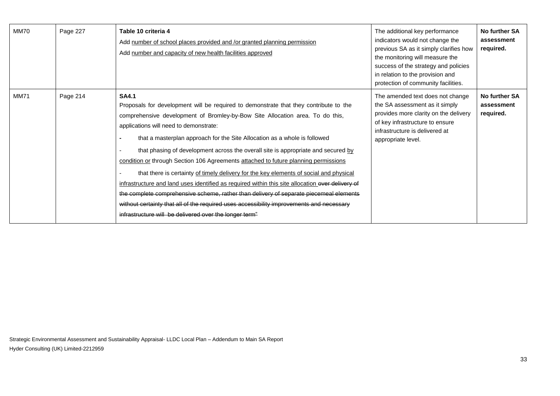| <b>MM70</b> | Page 227 | Table 10 criteria 4<br>Add number of school places provided and /or granted planning permission<br>Add number and capacity of new health facilities approved                                                                                                                                                                                                                                                                                                                                                                                                                                                                                                                                                                                                                                                                                                                                                                            | The additional key performance<br>indicators would not change the<br>previous SA as it simply clarifies how<br>the monitoring will measure the<br>success of the strategy and policies<br>in relation to the provision and<br>protection of community facilities. | No further SA<br>assessment<br>required. |
|-------------|----------|-----------------------------------------------------------------------------------------------------------------------------------------------------------------------------------------------------------------------------------------------------------------------------------------------------------------------------------------------------------------------------------------------------------------------------------------------------------------------------------------------------------------------------------------------------------------------------------------------------------------------------------------------------------------------------------------------------------------------------------------------------------------------------------------------------------------------------------------------------------------------------------------------------------------------------------------|-------------------------------------------------------------------------------------------------------------------------------------------------------------------------------------------------------------------------------------------------------------------|------------------------------------------|
| <b>MM71</b> | Page 214 | <b>SA4.1</b><br>Proposals for development will be required to demonstrate that they contribute to the<br>comprehensive development of Bromley-by-Bow Site Allocation area. To do this,<br>applications will need to demonstrate:<br>that a masterplan approach for the Site Allocation as a whole is followed<br>that phasing of development across the overall site is appropriate and secured by<br>condition or through Section 106 Agreements attached to future planning permissions<br>that there is certainty of timely delivery for the key elements of social and physical<br>infrastructure and land uses identified as required within this site allocation over delivery of<br>the complete comprehensive scheme, rather than delivery of separate piecemeal elements<br>without certainty that all of the required uses accessibility improvements and necessary<br>infrastructure will be delivered over the longer term" | The amended text does not change<br>the SA assessment as it simply<br>provides more clarity on the delivery<br>of key infrastructure to ensure<br>infrastructure is delivered at<br>appropriate level.                                                            | No further SA<br>assessment<br>required. |